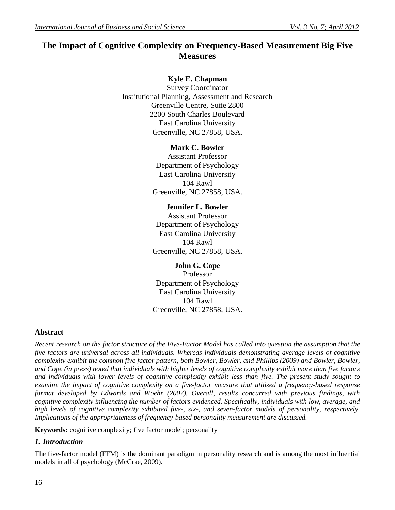# **The Impact of Cognitive Complexity on Frequency-Based Measurement Big Five Measures**

# **Kyle E. Chapman**

Survey Coordinator Institutional Planning, Assessment and Research Greenville Centre, Suite 2800 2200 South Charles Boulevard East Carolina University Greenville, NC 27858, USA.

## **Mark C. Bowler**

Assistant Professor Department of Psychology East Carolina University 104 Rawl Greenville, NC 27858, USA.

# **Jennifer L. Bowler**

Assistant Professor Department of Psychology East Carolina University 104 Rawl Greenville, NC 27858, USA.

# **John G. Cope**

Professor Department of Psychology East Carolina University 104 Rawl Greenville, NC 27858, USA.

# **Abstract**

*Recent research on the factor structure of the Five-Factor Model has called into question the assumption that the five factors are universal across all individuals. Whereas individuals demonstrating average levels of cognitive complexity exhibit the common five factor pattern, both Bowler, Bowler, and Phillips (2009) and Bowler, Bowler, and Cope (in press) noted that individuals with higher levels of cognitive complexity exhibit more than five factors and individuals with lower levels of cognitive complexity exhibit less than five. The present study sought to examine the impact of cognitive complexity on a five-factor measure that utilized a frequency-based response format developed by Edwards and Woehr (2007). Overall, results concurred with previous findings, with cognitive complexity influencing the number of factors evidenced. Specifically, individuals with low, average, and high levels of cognitive complexity exhibited five-, six-, and seven-factor models of personality, respectively. Implications of the appropriateness of frequency-based personality measurement are discussed.*

**Keywords:** cognitive complexity; five factor model; personality

# *1. Introduction*

The five-factor model (FFM) is the dominant paradigm in personality research and is among the most influential models in all of psychology (McCrae, 2009).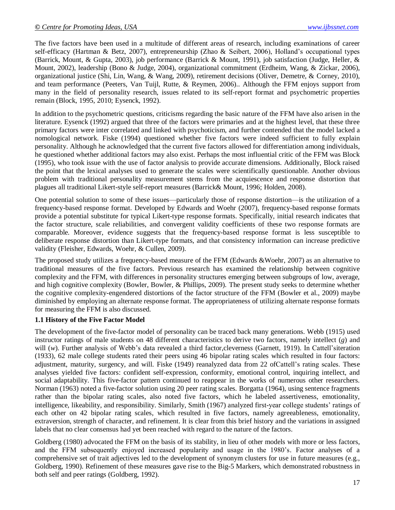The five factors have been used in a multitude of different areas of research, including examinations of career self-efficacy (Hartman & Betz, 2007), entrepreneurship (Zhao & Seibert, 2006), Holland's occupational types (Barrick, Mount, & Gupta, 2003), job performance (Barrick & Mount, 1991), job satisfaction (Judge, Heller, & Mount, 2002), leadership (Bono & Judge, 2004), organizational commitment (Erdheim, Wang, & Zickar, 2006), organizational justice (Shi, Lin, Wang, & Wang, 2009), retirement decisions (Oliver, Demetre, & Corney, 2010), and team performance (Peeters, Van Tuijl, Rutte, & Reymen, 2006).. Although the FFM enjoys support from many in the field of personality research, issues related to its self-report format and psychometric properties remain (Block, 1995, 2010; Eysenck, 1992).

In addition to the psychometric questions, criticisms regarding the basic nature of the FFM have also arisen in the literature. Eysenck (1992) argued that three of the factors were primaries and at the highest level, that these three primary factors were inter correlated and linked with psychoticism, and further contended that the model lacked a nomological network. Fiske (1994) questioned whether five factors were indeed sufficient to fully explain personality. Although he acknowledged that the current five factors allowed for differentiation among individuals, he questioned whether additional factors may also exist. Perhaps the most influential critic of the FFM was Block (1995), who took issue with the use of factor analysis to provide accurate dimensions. Additionally, Block raised the point that the lexical analyses used to generate the scales were scientifically questionable. Another obvious problem with traditional personality measurement stems from the acquiescence and response distortion that plagues all traditional Likert-style self-report measures (Barrick& Mount, 1996; Holden, 2008).

One potential solution to some of these issues—particularly those of response distortion—is the utilization of a frequency-based response format. Developed by Edwards and Woehr (2007), frequency-based response formats provide a potential substitute for typical Likert-type response formats. Specifically, initial research indicates that the factor structure, scale reliabilities, and convergent validity coefficients of these two response formats are comparable. Moreover, evidence suggests that the frequency-based response format is less susceptible to deliberate response distortion than Likert-type formats, and that consistency information can increase predictive validity (Fleisher, Edwards, Woehr, & Cullen, 2009).

The proposed study utilizes a frequency-based measure of the FFM (Edwards &Woehr, 2007) as an alternative to traditional measures of the five factors. Previous research has examined the relationship between cognitive complexity and the FFM, with differences in personality structures emerging between subgroups of low, average, and high cognitive complexity (Bowler, Bowler, & Phillips, 2009). The present study seeks to determine whether the cognitive complexity-engendered distortions of the factor structure of the FFM (Bowler et al., 2009) maybe diminished by employing an alternate response format. The appropriateness of utilizing alternate response formats for measuring the FFM is also discussed.

## **1.1 History of the Five Factor Model**

The development of the five-factor model of personality can be traced back many generations. Webb (1915) used instructor ratings of male students on 48 different characteristics to derive two factors, namely intellect (*g*) and will (w). Further analysis of Webb's data revealed a third factor, cleverness (Garnett, 1919). In Cattell'siteration (1933), 62 male college students rated their peers using 46 bipolar rating scales which resulted in four factors: adjustment, maturity, surgency, and will. Fiske (1949) reanalyzed data from 22 ofCattell's rating scales. These analyses yielded five factors: confident self-expression, conformity, emotional control, inquiring intellect, and social adaptability. This five-factor pattern continued to reappear in the works of numerous other researchers. Norman (1963) noted a five-factor solution using 20 peer rating scales. Borgatta (1964), using sentence fragments rather than the bipolar rating scales, also noted five factors, which he labeled assertiveness, emotionality, intelligence, likeability, and responsibility. Similarly, Smith (1967) analyzed first-year college students' ratings of each other on 42 bipolar rating scales, which resulted in five factors, namely agreeableness, emotionality, extraversion, strength of character, and refinement. It is clear from this brief history and the variations in assigned labels that no clear consensus had yet been reached with regard to the nature of the factors.

Goldberg (1980) advocated the FFM on the basis of its stability, in lieu of other models with more or less factors, and the FFM subsequently enjoyed increased popularity and usage in the 1980's. Factor analyses of a comprehensive set of trait adjectives led to the development of synonym clusters for use in future measures (e.g., Goldberg, 1990). Refinement of these measures gave rise to the Big-5 Markers, which demonstrated robustness in both self and peer ratings (Goldberg, 1992).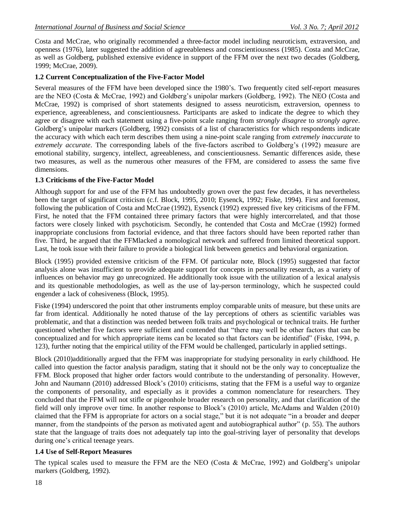Costa and McCrae, who originally recommended a three-factor model including neuroticism, extraversion, and openness (1976), later suggested the addition of agreeableness and conscientiousness (1985). Costa and McCrae, as well as Goldberg, published extensive evidence in support of the FFM over the next two decades (Goldberg, 1999; McCrae, 2009).

## **1.2 Current Conceptualization of the Five-Factor Model**

Several measures of the FFM have been developed since the 1980's. Two frequently cited self-report measures are the NEO (Costa & McCrae, 1992) and Goldberg's unipolar markers (Goldberg, 1992). The NEO (Costa and McCrae, 1992) is comprised of short statements designed to assess neuroticism, extraversion, openness to experience, agreeableness, and conscientiousness. Participants are asked to indicate the degree to which they agree or disagree with each statement using a five-point scale ranging from *strongly disagree* to *strongly agree*. Goldberg's unipolar markers (Goldberg, 1992) consists of a list of characteristics for which respondents indicate the accuracy with which each term describes them using a nine-point scale ranging from *extremely inaccurate* to *extremely accurate*. The corresponding labels of the five-factors ascribed to Goldberg's (1992) measure are emotional stability, surgency, intellect, agreeableness, and conscientiousness. Semantic differences aside, these two measures, as well as the numerous other measures of the FFM, are considered to assess the same five dimensions.

## **1.3 Criticisms of the Five-Factor Model**

Although support for and use of the FFM has undoubtedly grown over the past few decades, it has nevertheless been the target of significant criticism (c.f. Block, 1995, 2010; Eysenck, 1992; Fiske, 1994). First and foremost, following the publication of Costa and McCrae (1992), Eysenck (1992) expressed five key criticisms of the FFM. First, he noted that the FFM contained three primary factors that were highly intercorrelated, and that those factors were closely linked with psychoticism. Secondly, he contended that Costa and McCrae (1992) formed inappropriate conclusions from factorial evidence, and that three factors should have been reported rather than five. Third, he argued that the FFMlacked a nomological network and suffered from limited theoretical support. Last, he took issue with their failure to provide a biological link between genetics and behavioral organization.

Block (1995) provided extensive criticism of the FFM. Of particular note, Block (1995) suggested that factor analysis alone was insufficient to provide adequate support for concepts in personality research, as a variety of influences on behavior may go unrecognized. He additionally took issue with the utilization of a lexical analysis and its questionable methodologies, as well as the use of lay-person terminology, which he suspected could engender a lack of cohesiveness (Block, 1995).

Fiske (1994) underscored the point that other instruments employ comparable units of measure, but these units are far from identical. Additionally he noted thatuse of the lay perceptions of others as scientific variables was problematic, and that a distinction was needed between folk traits and psychological or technical traits. He further questioned whether five factors were sufficient and contended that "there may well be other factors that can be conceptualized and for which appropriate items can be located so that factors can be identified" (Fiske, 1994, p. 123), further noting that the empirical utility of the FFM would be challenged, particularly in applied settings.

Block (2010)additionally argued that the FFM was inappropriate for studying personality in early childhood. He called into question the factor analysis paradigm, stating that it should not be the only way to conceptualize the FFM. Block proposed that higher order factors would contribute to the understanding of personality. However, John and Naumann (2010) addressed Block's (2010) criticisms, stating that the FFM is a useful way to organize the components of personality, and especially as it provides a common nomenclature for researchers. They concluded that the FFM will not stifle or pigeonhole broader research on personality, and that clarification of the field will only improve over time. In another response to Block's (2010) article, McAdams and Walden (2010) claimed that the FFM is appropriate for actors on a social stage," but it is not adequate "in a broader and deeper manner, from the standpoints of the person as motivated agent and autobiographical author" (p. 55). The authors state that the language of traits does not adequately tap into the goal-striving layer of personality that develops during one's critical teenage years.

# **1.4 Use of Self-Report Measures**

The typical scales used to measure the FFM are the NEO (Costa & McCrae, 1992) and Goldberg's unipolar markers (Goldberg, 1992).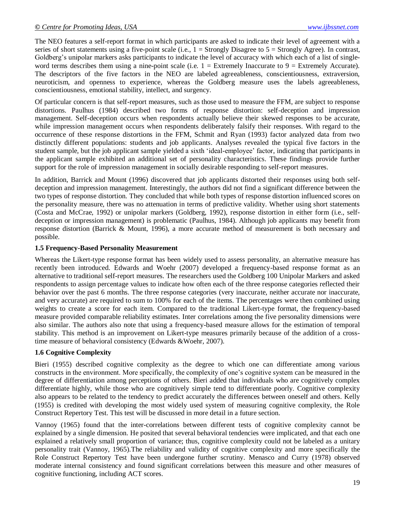The NEO features a self-report format in which participants are asked to indicate their level of agreement with a series of short statements using a five-point scale (i.e.,  $1 =$  Strongly Disagree to  $5 =$  Strongly Agree). In contrast, Goldberg's unipolar markers asks participants to indicate the level of accuracy with which each of a list of singleword terms describes them using a nine-point scale (i.e.  $1 =$  Extremely Inaccurate to  $9 =$  Extremely Accurate). The descriptors of the five factors in the NEO are labeled agreeableness, conscientiousness, extraversion, neuroticism, and openness to experience, whereas the Goldberg measure uses the labels agreeableness, conscientiousness, emotional stability, intellect, and surgency.

Of particular concern is that self-report measures, such as those used to measure the FFM, are subject to response distortions. Paulhus (1984) described two forms of response distortion: self-deception and impression management. Self-deception occurs when respondents actually believe their skewed responses to be accurate, while impression management occurs when respondents deliberately falsify their responses. With regard to the occurrence of these response distortions in the FFM, Schmit and Ryan (1993) factor analyzed data from two distinctly different populations: students and job applicants. Analyses revealed the typical five factors in the student sample, but the job applicant sample yielded a sixth 'ideal-employee' factor, indicating that participants in the applicant sample exhibited an additional set of personality characteristics. These findings provide further support for the role of impression management in socially desirable responding to self-report measures.

In addition, Barrick and Mount (1996) discovered that job applicants distorted their responses using both selfdeception and impression management. Interestingly, the authors did not find a significant difference between the two types of response distortion. They concluded that while both types of response distortion influenced scores on the personality measure, there was no attenuation in terms of predictive validity. Whether using short statements (Costa and McCrae, 1992) or unipolar markers (Goldberg, 1992), response distortion in either form (i.e., selfdeception or impression management) is problematic (Paulhus, 1984). Although job applicants may benefit from response distortion (Barrick & Mount, 1996), a more accurate method of measurement is both necessary and possible.

#### **1.5 Frequency-Based Personality Measurement**

Whereas the Likert-type response format has been widely used to assess personality, an alternative measure has recently been introduced. Edwards and Woehr (2007) developed a frequency-based response format as an alternative to traditional self-report measures. The researchers used the Goldberg 100 Unipolar Markers and asked respondents to assign percentage values to indicate how often each of the three response categories reflected their behavior over the past 6 months. The three response categories (very inaccurate, neither accurate nor inaccurate, and very accurate) are required to sum to 100% for each of the items. The percentages were then combined using weights to create a score for each item. Compared to the traditional Likert-type format, the frequency-based measure provided comparable reliability estimates. Inter correlations among the five personality dimensions were also similar. The authors also note that using a frequency-based measure allows for the estimation of temporal stability. This method is an improvement on Likert-type measures primarily because of the addition of a crosstime measure of behavioral consistency (Edwards &Woehr, 2007).

## **1.6 Cognitive Complexity**

Bieri (1955) described cognitive complexity as the degree to which one can differentiate among various constructs in the environment. More specifically, the complexity of one's cognitive system can be measured in the degree of differentiation among perceptions of others. Bieri added that individuals who are cognitively complex differentiate highly, while those who are cognitively simple tend to differentiate poorly. Cognitive complexity also appears to be related to the tendency to predict accurately the differences between oneself and others. Kelly (1955) is credited with developing the most widely used system of measuring cognitive complexity, the Role Construct Repertory Test. This test will be discussed in more detail in a future section.

Vannoy (1965) found that the inter-correlations between different tests of cognitive complexity cannot be explained by a single dimension. He posited that several behavioral tendencies were implicated, and that each one explained a relatively small proportion of variance; thus, cognitive complexity could not be labeled as a unitary personality trait (Vannoy, 1965).The reliability and validity of cognitive complexity and more specifically the Role Construct Repertory Test have been undergone further scrutiny. Menasco and Curry (1978) observed moderate internal consistency and found significant correlations between this measure and other measures of cognitive functioning, including ACT scores.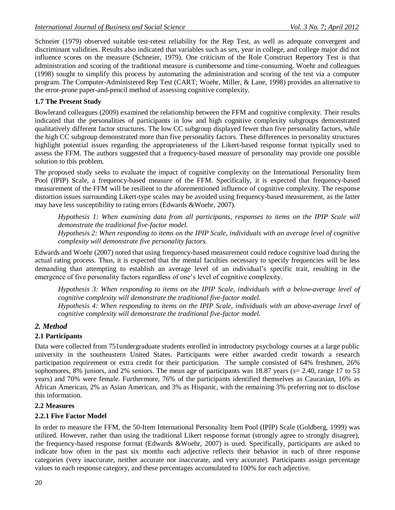Schneier (1979) observed suitable test-retest reliability for the Rep Test, as well as adequate convergent and discriminant validities. Results also indicated that variables such as sex, year in college, and college major did not influence scores on the measure (Schneier, 1979). One criticism of the Role Construct Repertory Test is that administration and scoring of the traditional measure is cumbersome and time-consuming. Woehr and colleagues (1998) sought to simplify this process by automating the administration and scoring of the test via a computer program. The Computer-Administered Rep Test (CART; Woehr, Miller, & Lane, 1998) provides an alternative to the error-prone paper-and-pencil method of assessing cognitive complexity.

#### **1.7 The Present Study**

Bowlerand colleagues (2009) examined the relationship between the FFM and cognitive complexity. Their results indicated that the personalities of participants in low and high cognitive complexity subgroups demonstrated qualitatively different factor structures. The low CC subgroup displayed fewer than five personality factors, while the high CC subgroup demonstrated more than five personality factors. These differences in personality structures highlight potential issues regarding the appropriateness of the Likert-based response format typically used to assess the FFM. The authors suggested that a frequency-based measure of personality may provide one possible solution to this problem.

The proposed study seeks to evaluate the impact of cognitive complexity on the International Personality Item Pool (IPIP) Scale, a frequency-based measure of the FFM. Specifically, it is expected that frequency-based measurement of the FFM will be resilient to the aforementioned influence of cognitive complexity. The response distortion issues surrounding Likert-type scales may be avoided using frequency-based measurement, as the latter may have less susceptibility to rating errors (Edwards &Woehr, 2007).

*Hypothesis 1: When examining data from all participants, responses to items on the IPIP Scale will demonstrate the traditional five-factor model. Hypothesis 2: When responding to items on the IPIP Scale, individuals with an average level of cognitive* 

*complexity will demonstrate five personality factors.*

Edwards and Woehr (2007) noted that using frequency-based measurement could reduce cognitive load during the actual rating process. Thus, it is expected that the mental faculties necessary to specify frequencies will be less demanding than attempting to establish an average level of an individual's specific trait, resulting in the emergence of five personality factors regardless of one's level of cognitive complexity.

*Hypothesis 3: When responding to items on the IPIP Scale, individuals with a below-average level of cognitive complexity will demonstrate the traditional five-factor model.*

*Hypothesis 4: When responding to items on the IPIP Scale, individuals with an above-average level of cognitive complexity will demonstrate the traditional five-factor model.*

## *2. Method*

## **2.1 Participants**

Data were collected from 751undergraduate students enrolled in introductory psychology courses at a large public university in the southeastern United States. Participants were either awarded credit towards a research participation requirement or extra credit for their participation. The sample consisted of 64% freshmen, 26% sophomores, 8% juniors, and 2% seniors. The mean age of participants was 18.87 years (*s*= 2.40, range 17 to 53 years) and 70% were female. Furthermore, 76% of the participants identified themselves as Caucasian, 16% as African American, 2% as Asian American, and 3% as Hispanic, with the remaining 3% preferring not to disclose this information.

#### **2.2 Measures**

#### **2.2.1 Five Factor Model**

In order to measure the FFM, the 50-Item International Personality Item Pool (IPIP) Scale (Goldberg, 1999) was utilized. However, rather than using the traditional Likert response format (strongly agree to strongly disagree), the frequency-based response format (Edwards &Woehr, 2007) is used. Specifically, participants are asked to indicate how often in the past six months each adjective reflects their behavior in each of three response categories (very inaccurate, neither accurate nor inaccurate, and very accurate). Participants assign percentage values to each response category, and these percentages accumulated to 100% for each adjective.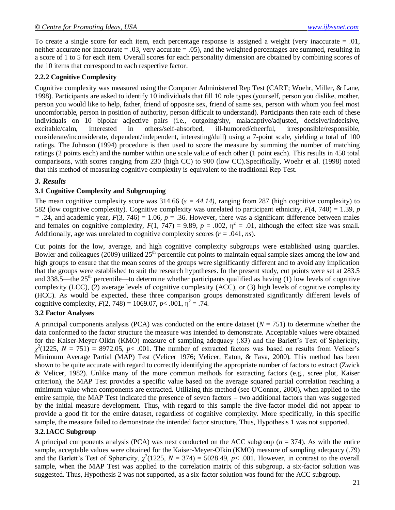To create a single score for each item, each percentage response is assigned a weight (very inaccurate = .01, neither accurate nor inaccurate = .03, very accurate = .05), and the weighted percentages are summed, resulting in a score of 1 to 5 for each item. Overall scores for each personality dimension are obtained by combining scores of the 10 items that correspond to each respective factor.

## **2.2.2 Cognitive Complexity**

Cognitive complexity was measured using the Computer Administered Rep Test (CART; Woehr, Miller, & Lane, 1998). Participants are asked to identify 10 individuals that fill 10 role types (yourself, person you dislike, mother, person you would like to help, father, friend of opposite sex, friend of same sex, person with whom you feel most uncomfortable, person in position of authority, person difficult to understand). Participants then rate each of these individuals on 10 bipolar adjective pairs (i.e., outgoing/shy, maladaptive/adjusted, decisive/indecisive, excitable/calm, interested in others/self-absorbed, ill-humored/cheerful, irresponsible/responsible, considerate/inconsiderate, dependent/independent, interesting/dull) using a 7-point scale, yielding a total of 100 ratings. The Johnson (1994) procedure is then used to score the measure by summing the number of matching ratings (2 points each) and the number within one scale value of each other (1 point each). This results in 450 total comparisons, with scores ranging from 230 (high CC) to 900 (low CC).Specifically, Woehr et al. (1998) noted that this method of measuring cognitive complexity is equivalent to the traditional Rep Test.

#### *3. Results*

#### **3.1 Cognitive Complexity and Subgrouping**

The mean cognitive complexity score was  $314.66$  ( $s = 44.14$ ), ranging from 287 (high cognitive complexity) to 582 (low cognitive complexity). Cognitive complexity was unrelated to participant ethnicity, *F*(4, 740) = 1.39, *p*   $=$  .24, and academic year,  $F(3, 746) = 1.06$ ,  $p = .36$ . However, there was a significant difference between males and females on cognitive complexity,  $F(1, 747) = 9.89$ ,  $p = .002$ ,  $\eta^2 = .01$ , although the effect size was small. Additionally, age was unrelated to cognitive complexity scores  $(r = .041, ns)$ .

Cut points for the low, average, and high cognitive complexity subgroups were established using quartiles. Bowler and colleagues (2009) utilized  $25<sup>th</sup>$  percentile cut points to maintain equal sample sizes among the low and high groups to ensure that the mean scores of the groups were significantly different and to avoid any implication that the groups were established to suit the research hypotheses. In the present study, cut points were set at 283.5 and 338.5—the 25<sup>th</sup> percentile—to determine whether participants qualified as having (1) low levels of cognitive complexity (LCC), (2) average levels of cognitive complexity (ACC), or (3) high levels of cognitive complexity (HCC). As would be expected, these three comparison groups demonstrated significantly different levels of cognitive complexity,  $F(2, 748) = 1069.07$ ,  $p < .001$ ,  $\eta^2 = .74$ .

#### **3.2 Factor Analyses**

A principal components analysis (PCA) was conducted on the entire dataset ( $N = 751$ ) to determine whether the data conformed to the factor structure the measure was intended to demonstrate. Acceptable values were obtained for the Kaiser-Meyer-Olkin (KMO) measure of sampling adequacy (.83) and the Barlett's Test of Sphericity,  $\chi^2(1225, N = 751) = 8972.05, p < .001$ . The number of extracted factors was based on results from Velicer's Minimum Average Partial (MAP) Test (Velicer 1976; Velicer, Eaton, & Fava, 2000). This method has been shown to be quite accurate with regard to correctly identifying the appropriate number of factors to extract (Zwick & Velicer, 1982). Unlike many of the more common methods for extracting factors (e.g., scree plot, Kaiser criterion), the MAP Test provides a specific value based on the average squared partial correlation reaching a minimum value when components are extracted. Utilizing this method (see O'Connor, 2000), when applied to the entire sample, the MAP Test indicated the presence of seven factors – two additional factors than was suggested by the initial measure development. Thus, with regard to this sample the five-factor model did not appear to provide a good fit for the entire dataset, regardless of cognitive complexity. More specifically, in this specific sample, the measure failed to demonstrate the intended factor structure. Thus, Hypothesis 1 was not supported.

#### **3.2.1ACC Subgroup**

A principal components analysis (PCA) was next conducted on the ACC subgroup (*n* = 374). As with the entire sample, acceptable values were obtained for the Kaiser-Meyer-Olkin (KMO) measure of sampling adequacy (.79) and the Barlett's Test of Sphericity,  $\chi^2(1225, N = 374) = 5028.49, p < .001$ . However, in contrast to the overall sample, when the MAP Test was applied to the correlation matrix of this subgroup, a six-factor solution was suggested. Thus, Hypothesis 2 was not supported, as a six-factor solution was found for the ACC subgroup.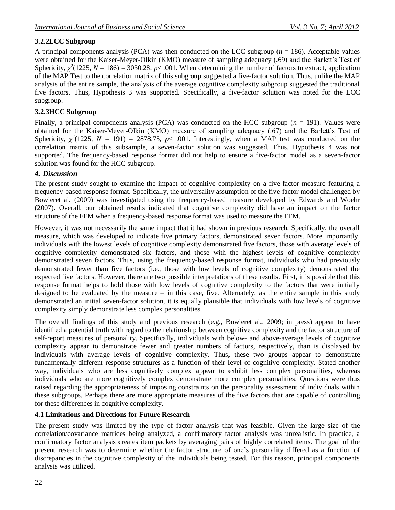# **3.2.2LCC Subgroup**

A principal components analysis (PCA) was then conducted on the LCC subgroup ( $n = 186$ ). Acceptable values were obtained for the Kaiser-Meyer-Olkin (KMO) measure of sampling adequacy (.69) and the Barlett's Test of Sphericity,  $\chi^2(1225, N = 186) = 3030.28, p < .001$ . When determining the number of factors to extract, application of the MAP Test to the correlation matrix of this subgroup suggested a five-factor solution. Thus, unlike the MAP analysis of the entire sample, the analysis of the average cognitive complexity subgroup suggested the traditional five factors. Thus, Hypothesis 3 was supported. Specifically, a five-factor solution was noted for the LCC subgroup.

#### **3.2.3HCC Subgroup**

Finally, a principal components analysis (PCA) was conducted on the HCC subgroup (*n* = 191). Values were obtained for the Kaiser-Meyer-Olkin (KMO) measure of sampling adequacy (.67) and the Barlett's Test of Sphericity,  $\chi^2(1225, N = 191) = 2878.75, p < .001$ . Interestingly, when a MAP test was conducted on the correlation matrix of this subsample, a seven-factor solution was suggested. Thus, Hypothesis 4 was not supported. The frequency-based response format did not help to ensure a five-factor model as a seven-factor solution was found for the HCC subgroup.

#### *4. Discussion*

The present study sought to examine the impact of cognitive complexity on a five-factor measure featuring a frequency-based response format. Specifically, the universality assumption of the five-factor model challenged by Bowleret al. (2009) was investigated using the frequency-based measure developed by Edwards and Woehr (2007). Overall, our obtained results indicated that cognitive complexity did have an impact on the factor structure of the FFM when a frequency-based response format was used to measure the FFM.

However, it was not necessarily the same impact that it had shown in previous research. Specifically, the overall measure, which was developed to indicate five primary factors, demonstrated seven factors. More importantly, individuals with the lowest levels of cognitive complexity demonstrated five factors, those with average levels of cognitive complexity demonstrated six factors, and those with the highest levels of cognitive complexity demonstrated seven factors. Thus, using the frequency-based response format, individuals who had previously demonstrated fewer than five factors (i.e., those with low levels of cognitive complexity) demonstrated the expected five factors. However, there are two possible interpretations of these results. First, it is possible that this response format helps to hold those with low levels of cognitive complexity to the factors that were initially designed to be evaluated by the measure – in this case, five. Alternately, as the entire sample in this study demonstrated an initial seven-factor solution, it is equally plausible that individuals with low levels of cognitive complexity simply demonstrate less complex personalities.

The overall findings of this study and previous research (e.g., Bowleret al., 2009; in press) appear to have identified a potential truth with regard to the relationship between cognitive complexity and the factor structure of self-report measures of personality. Specifically, individuals with below- and above-average levels of cognitive complexity appear to demonstrate fewer and greater numbers of factors, respectively, than is displayed by individuals with average levels of cognitive complexity. Thus, these two groups appear to demonstrate fundamentally different response structures as a function of their level of cognitive complexity. Stated another way, individuals who are less cognitively complex appear to exhibit less complex personalities, whereas individuals who are more cognitively complex demonstrate more complex personalities. Questions were thus raised regarding the appropriateness of imposing constraints on the personality assessment of individuals within these subgroups. Perhaps there are more appropriate measures of the five factors that are capable of controlling for these differences in cognitive complexity.

#### **4.1 Limitations and Directions for Future Research**

The present study was limited by the type of factor analysis that was feasible. Given the large size of the correlation/covariance matrices being analyzed, a confirmatory factor analysis was unrealistic. In practice, a confirmatory factor analysis creates item packets by averaging pairs of highly correlated items. The goal of the present research was to determine whether the factor structure of one's personality differed as a function of discrepancies in the cognitive complexity of the individuals being tested. For this reason, principal components analysis was utilized.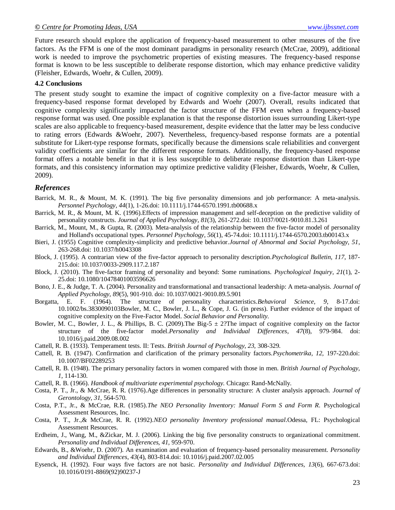Future research should explore the application of frequency-based measurement to other measures of the five factors. As the FFM is one of the most dominant paradigms in personality research (McCrae, 2009), additional work is needed to improve the psychometric properties of existing measures. The frequency-based response format is known to be less susceptible to deliberate response distortion, which may enhance predictive validity (Fleisher, Edwards, Woehr, & Cullen, 2009).

#### **4.2 Conclusions**

The present study sought to examine the impact of cognitive complexity on a five-factor measure with a frequency-based response format developed by Edwards and Woehr (2007). Overall, results indicated that cognitive complexity significantly impacted the factor structure of the FFM even when a frequency-based response format was used. One possible explanation is that the response distortion issues surrounding Likert-type scales are also applicable to frequency-based measurement, despite evidence that the latter may be less conducive to rating errors (Edwards &Woehr, 2007). Nevertheless, frequency-based response formats are a potential substitute for Likert-type response formats, specifically because the dimensions scale reliabilities and convergent validity coefficients are similar for the different response formats. Additionally, the frequency-based response format offers a notable benefit in that it is less susceptible to deliberate response distortion than Likert-type formats, and this consistency information may optimize predictive validity (Fleisher, Edwards, Woehr, & Cullen, 2009).

#### *References*

- Barrick, M. R., & Mount, M. K. (1991). The big five personality dimensions and job performance: A meta-analysis. *Personnel Psychology, 44*(1), 1-26.doi: 10.1111/j.1744-6570.1991.tb00688.x
- Barrick, M. R., & Mount, M. K. (1996).Effects of impression management and self-deception on the predictive validity of personality constructs. *Journal of Applied Psychology*, *81*(3), 261-272.doi: 10.1037/0021-9010.81.3.261
- Barrick, M., Mount, M., & Gupta, R. (2003). Meta-analysis of the relationship between the five-factor model of personality and Holland's occupational types. *Personnel Psychology*, *56*(1), 45-74.doi: 10.1111/j.1744-6570.2003.tb00143.x
- Bieri, J. (1955) Cognitive complexity-simplicity and predictive behavior.*Journal of Abnormal and Social Psychology, 51*, 263-268.doi: 10.1037/h0043308
- Block, J. (1995). A contrarian view of the five-factor approach to personality description.*Psychological Bulletin, 117*, 187- 215.doi: 10.1037/0033-2909.117.2.187
- Block, J. (2010). The five-factor framing of personality and beyond: Some ruminations. *Psychological Inquiry, 21*(1), 2- 25.doi: 10.1080/10478401003596626
- Bono, J. E., & Judge, T. A. (2004). Personality and transformational and transactional leadership: A meta-analysis. *Journal of Applied Psychology, 89*(5), 901-910. doi: 10.1037/0021-9010.89.5.901
- Borgatta, E. F. (1964). The structure of personality characteristics.*Behavioral Science, 9*, 8-17.doi: 10.1002/bs.3830090103Bowler, M. C., Bowler, J. L., & Cope, J. G. (in press). Further evidence of the impact of cognitive complexity on the Five-Factor Model. *Social Behavior and Personality.*
- Bowler, M. C., Bowler, J. L., & Phillips, B. C. (2009). The Big-5  $\pm$  2? The impact of cognitive complexity on the factor structure of the five-factor model.*Personality and Individual Differences*, *47*(8), 979-984. doi: 10.1016/j.paid.2009.08.002
- Cattell, R. B. (1933). Temperament tests. II: Tests. *British Journal of Psychology, 23,* 308-329.
- Cattell, R. B. (1947). Confirmation and clarification of the primary personality factors.*Psychometrika, 12,* 197-220.doi: 10.1007/BF02289253
- Cattell, R. B. (1948). The primary personality factors in women compared with those in men. *British Journal of Psychology, 1,* 114-130.
- Cattell, R. B. (1966). *Handbook of multivariate experimental psychology.* Chicago: Rand-McNally.
- Costa, P. T., Jr., & McCrae, R. R. (1976).Age differences in personality structure: A cluster analysis approach. *Journal of Gerontology, 31,* 564-570.
- Costa, P.T., Jr., & McCrae, R.R. (1985).*The NEO Personality Inventory: Manual Form S and Form R.* Psychological Assessment Resources, Inc.
- Costa, P. T., Jr.,& McCrae, R. R. (1992).*NEO personality Inventory professional manual*.Odessa, FL: Psychological Assessment Resources.
- Erdheim, J., Wang, M., &Zickar, M. J. (2006). Linking the big five personality constructs to organizational commitment. *Personality and Individual Differences, 41,* 959-970.
- Edwards, B., &Woehr, D. (2007). An examination and evaluation of frequency-based personality measurement. *Personality and Individual Differences*, *43*(4), 803-814.doi: 10.1016/j.paid.2007.02.005
- Eysenck, H. (1992). Four ways five factors are not basic. *Personality and Individual Differences*, *13*(6), 667-673.doi: 10.1016/0191-8869(92)90237-J